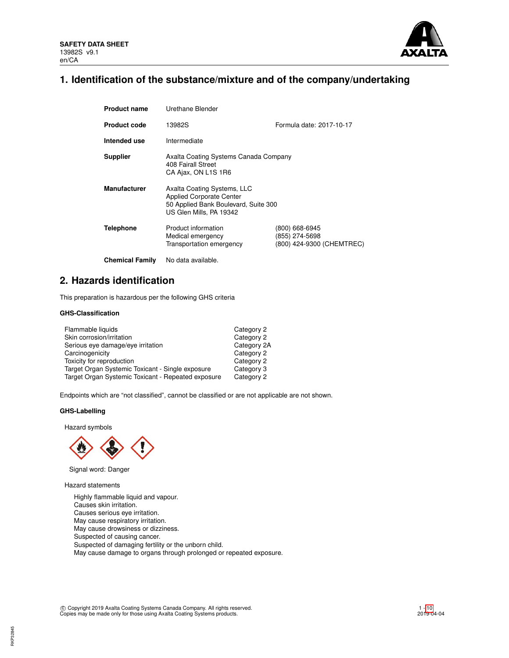

# **1. Identification of the substance/mixture and of the company/undertaking**

| <b>Product name</b>    | Urethane Blender                                                                                                                  |                                                               |
|------------------------|-----------------------------------------------------------------------------------------------------------------------------------|---------------------------------------------------------------|
| <b>Product code</b>    | 13982S                                                                                                                            | Formula date: 2017-10-17                                      |
| Intended use           | Intermediate                                                                                                                      |                                                               |
| <b>Supplier</b>        | Axalta Coating Systems Canada Company<br>408 Fairall Street<br>CA Ajax, ON L1S 1R6                                                |                                                               |
| <b>Manufacturer</b>    | Axalta Coating Systems, LLC<br><b>Applied Corporate Center</b><br>50 Applied Bank Boulevard, Suite 300<br>US Glen Mills, PA 19342 |                                                               |
| <b>Telephone</b>       | Product information<br>Medical emergency<br>Transportation emergency                                                              | (800) 668-6945<br>(855) 274-5698<br>(800) 424-9300 (CHEMTREC) |
| <b>Chemical Family</b> | No data available.                                                                                                                |                                                               |

## **2. Hazards identification**

This preparation is hazardous per the following GHS criteria

## **GHS-Classification**

| Flammable liquids                                  | Category 2  |
|----------------------------------------------------|-------------|
| Skin corrosion/irritation                          | Category 2  |
| Serious eye damage/eye irritation                  | Category 2A |
| Carcinogenicity                                    | Category 2  |
| Toxicity for reproduction                          | Category 2  |
| Target Organ Systemic Toxicant - Single exposure   | Category 3  |
| Target Organ Systemic Toxicant - Repeated exposure | Category 2  |

Endpoints which are "not classified", cannot be classified or are not applicable are not shown.

## **GHS-Labelling**

Hazard symbols



Signal word: Danger

Hazard statements

Highly flammable liquid and vapour. Causes skin irritation. Causes serious eye irritation. May cause respiratory irritation. May cause drowsiness or dizziness. Suspected of causing cancer. Suspected of damaging fertility or the unborn child. May cause damage to organs through prolonged or repeated exposure.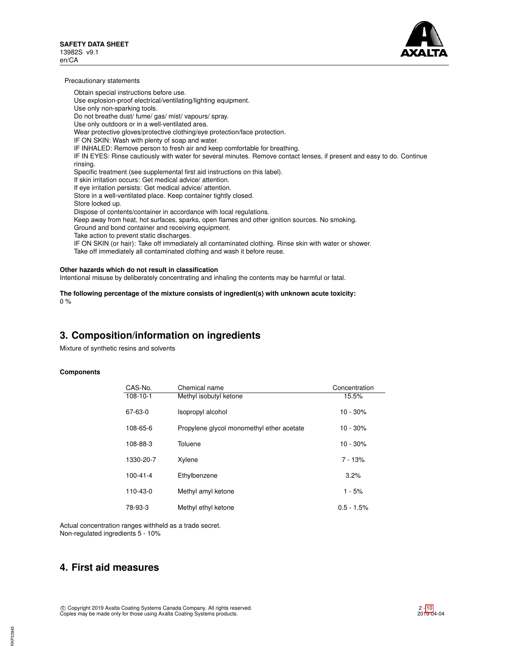

Precautionary statements

Obtain special instructions before use. Use explosion-proof electrical/ventilating/lighting equipment. Use only non-sparking tools. Do not breathe dust/ fume/ gas/ mist/ vapours/ spray. Use only outdoors or in a well-ventilated area. Wear protective gloves/protective clothing/eye protection/face protection. IF ON SKIN: Wash with plenty of soap and water. IF INHALED: Remove person to fresh air and keep comfortable for breathing. IF IN EYES: Rinse cautiously with water for several minutes. Remove contact lenses, if present and easy to do. Continue rinsing. Specific treatment (see supplemental first aid instructions on this label). If skin irritation occurs: Get medical advice/ attention. If eye irritation persists: Get medical advice/ attention. Store in a well-ventilated place. Keep container tightly closed. Store locked up. Dispose of contents/container in accordance with local regulations. Keep away from heat, hot surfaces, sparks, open flames and other ignition sources. No smoking. Ground and bond container and receiving equipment. Take action to prevent static discharges. IF ON SKIN (or hair): Take off immediately all contaminated clothing. Rinse skin with water or shower. Take off immediately all contaminated clothing and wash it before reuse.

## **Other hazards which do not result in classification**

Intentional misuse by deliberately concentrating and inhaling the contents may be harmful or fatal.

**The following percentage of the mixture consists of ingredient(s) with unknown acute toxicity:** 0 %

## **3. Composition/information on ingredients**

Mixture of synthetic resins and solvents

### **Components**

| CAS-No.        | Chemical name                             | Concentration |
|----------------|-------------------------------------------|---------------|
| $108 - 10 - 1$ | Methyl isobutyl ketone                    | 15.5%         |
| 67-63-0        | Isopropyl alcohol                         | $10 - 30%$    |
| 108-65-6       | Propylene glycol monomethyl ether acetate | $10 - 30%$    |
| 108-88-3       | Toluene                                   | $10 - 30%$    |
| 1330-20-7      | Xylene                                    | $7 - 13%$     |
| $100 - 41 - 4$ | Ethylbenzene                              | 3.2%          |
| $110 - 43 - 0$ | Methyl amyl ketone                        | $1 - 5%$      |
| 78-93-3        | Methyl ethyl ketone                       | $0.5 - 1.5%$  |

Actual concentration ranges withheld as a trade secret. Non-regulated ingredients 5 - 10%

## **4. First aid measures**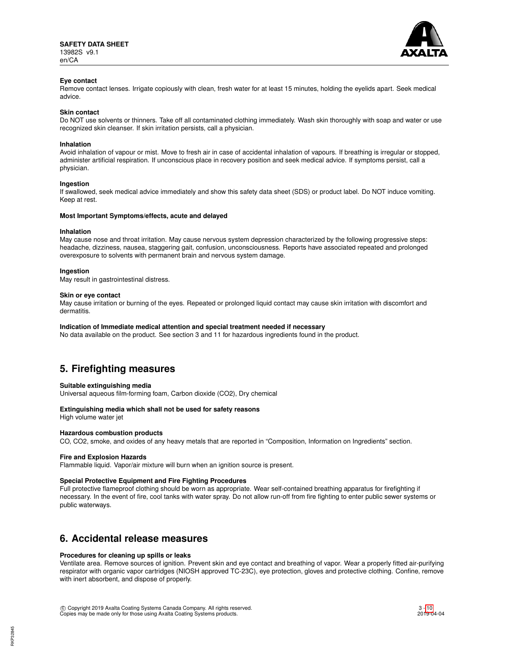

## **Eye contact**

Remove contact lenses. Irrigate copiously with clean, fresh water for at least 15 minutes, holding the eyelids apart. Seek medical advice.

#### **Skin contact**

Do NOT use solvents or thinners. Take off all contaminated clothing immediately. Wash skin thoroughly with soap and water or use recognized skin cleanser. If skin irritation persists, call a physician.

### **Inhalation**

Avoid inhalation of vapour or mist. Move to fresh air in case of accidental inhalation of vapours. If breathing is irregular or stopped, administer artificial respiration. If unconscious place in recovery position and seek medical advice. If symptoms persist, call a physician.

### **Ingestion**

If swallowed, seek medical advice immediately and show this safety data sheet (SDS) or product label. Do NOT induce vomiting. Keep at rest.

### **Most Important Symptoms/effects, acute and delayed**

#### **Inhalation**

May cause nose and throat irritation. May cause nervous system depression characterized by the following progressive steps: headache, dizziness, nausea, staggering gait, confusion, unconsciousness. Reports have associated repeated and prolonged overexposure to solvents with permanent brain and nervous system damage.

#### **Ingestion**

May result in gastrointestinal distress.

#### **Skin or eye contact**

May cause irritation or burning of the eyes. Repeated or prolonged liquid contact may cause skin irritation with discomfort and dermatitis.

#### **Indication of Immediate medical attention and special treatment needed if necessary**

No data available on the product. See section 3 and 11 for hazardous ingredients found in the product.

## **5. Firefighting measures**

### **Suitable extinguishing media**

Universal aqueous film-forming foam, Carbon dioxide (CO2), Dry chemical

### **Extinguishing media which shall not be used for safety reasons**

High volume water jet

## **Hazardous combustion products**

CO, CO2, smoke, and oxides of any heavy metals that are reported in "Composition, Information on Ingredients" section.

### **Fire and Explosion Hazards**

Flammable liquid. Vapor/air mixture will burn when an ignition source is present.

## **Special Protective Equipment and Fire Fighting Procedures**

Full protective flameproof clothing should be worn as appropriate. Wear self-contained breathing apparatus for firefighting if necessary. In the event of fire, cool tanks with water spray. Do not allow run-off from fire fighting to enter public sewer systems or public waterways.

## **6. Accidental release measures**

### **Procedures for cleaning up spills or leaks**

Ventilate area. Remove sources of ignition. Prevent skin and eye contact and breathing of vapor. Wear a properly fitted air-purifying respirator with organic vapor cartridges (NIOSH approved TC-23C), eye protection, gloves and protective clothing. Confine, remove with inert absorbent, and dispose of properly.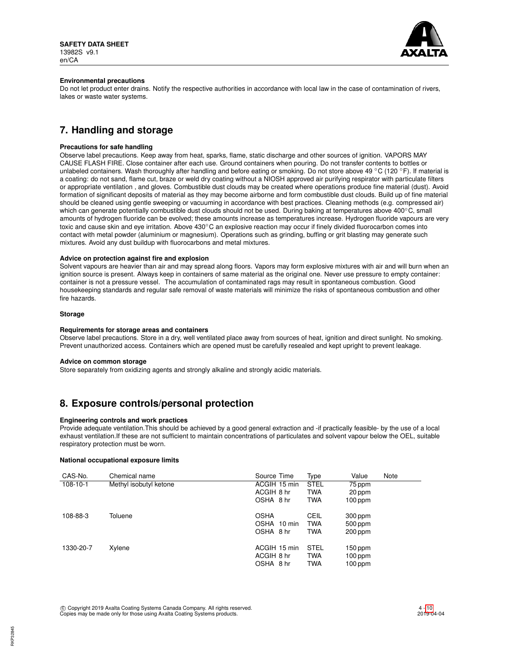

## **Environmental precautions**

Do not let product enter drains. Notify the respective authorities in accordance with local law in the case of contamination of rivers, lakes or waste water systems.

# **7. Handling and storage**

## **Precautions for safe handling**

Observe label precautions. Keep away from heat, sparks, flame, static discharge and other sources of ignition. VAPORS MAY CAUSE FLASH FIRE. Close container after each use. Ground containers when pouring. Do not transfer contents to bottles or unlabeled containers. Wash thoroughly after handling and before eating or smoking. Do not store above 49 °C (120 °F). If material is a coating: do not sand, flame cut, braze or weld dry coating without a NIOSH approved air purifying respirator with particulate filters or appropriate ventilation , and gloves. Combustible dust clouds may be created where operations produce fine material (dust). Avoid formation of significant deposits of material as they may become airborne and form combustible dust clouds. Build up of fine material should be cleaned using gentle sweeping or vacuuming in accordance with best practices. Cleaning methods (e.g. compressed air) which can generate potentially combustible dust clouds should not be used. During baking at temperatures above 400°C, small amounts of hydrogen fluoride can be evolved; these amounts increase as temperatures increase. Hydrogen fluoride vapours are very toxic and cause skin and eye irritation. Above 430℃ an explosive reaction may occur if finely divided fluorocarbon comes into contact with metal powder (aluminium or magnesium). Operations such as grinding, buffing or grit blasting may generate such mixtures. Avoid any dust buildup with fluorocarbons and metal mixtures.

## **Advice on protection against fire and explosion**

Solvent vapours are heavier than air and may spread along floors. Vapors may form explosive mixtures with air and will burn when an ignition source is present. Always keep in containers of same material as the original one. Never use pressure to empty container: container is not a pressure vessel. The accumulation of contaminated rags may result in spontaneous combustion. Good housekeeping standards and regular safe removal of waste materials will minimize the risks of spontaneous combustion and other fire hazards.

### **Storage**

### **Requirements for storage areas and containers**

Observe label precautions. Store in a dry, well ventilated place away from sources of heat, ignition and direct sunlight. No smoking. Prevent unauthorized access. Containers which are opened must be carefully resealed and kept upright to prevent leakage.

### **Advice on common storage**

Store separately from oxidizing agents and strongly alkaline and strongly acidic materials.

## **8. Exposure controls/personal protection**

### **Engineering controls and work practices**

Provide adequate ventilation.This should be achieved by a good general extraction and -if practically feasible- by the use of a local exhaust ventilation.If these are not sufficient to maintain concentrations of particulates and solvent vapour below the OEL, suitable respiratory protection must be worn.

## **National occupational exposure limits**

| CAS-No.        | Chemical name          | Source Time  | Type        | Value     | Note |
|----------------|------------------------|--------------|-------------|-----------|------|
| $108 - 10 - 1$ | Methyl isobutyl ketone | ACGIH 15 min | <b>STEL</b> | 75 ppm    |      |
|                |                        | ACGIH 8 hr   | <b>TWA</b>  | 20 ppm    |      |
|                |                        | OSHA 8 hr    | <b>TWA</b>  | $100$ ppm |      |
| 108-88-3       | Toluene                | <b>OSHA</b>  | CEIL        | 300 ppm   |      |
|                |                        | OSHA 10 min  | <b>TWA</b>  | 500 ppm   |      |
|                |                        | OSHA 8 hr    | <b>TWA</b>  | 200 ppm   |      |
| 1330-20-7      | Xylene                 | ACGIH 15 min | <b>STEL</b> | $150$ ppm |      |
|                |                        | ACGIH 8 hr   | <b>TWA</b>  | $100$ ppm |      |
|                |                        | OSHA 8 hr    | <b>TWA</b>  | $100$ ppm |      |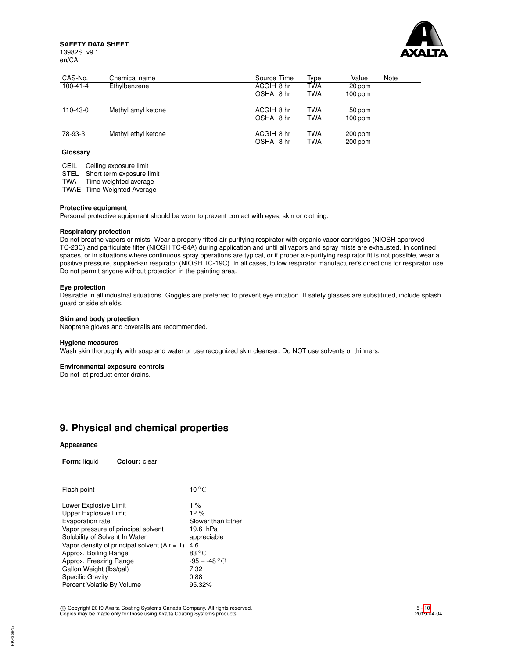**SAFETY DATA SHEET** 13982S v9.1





| CAS-No.        | Chemical name       | Source Time | Type       | Value     | Note |
|----------------|---------------------|-------------|------------|-----------|------|
| $100 - 41 - 4$ | Ethylbenzene        | ACGIH 8 hr  | <b>TWA</b> | 20 ppm    |      |
|                |                     | OSHA 8 hr   | <b>TWA</b> | $100$ ppm |      |
| 110-43-0       | Methyl amyl ketone  | ACGIH 8 hr  | <b>TWA</b> | 50 ppm    |      |
|                |                     | OSHA 8 hr   | <b>TWA</b> | $100$ ppm |      |
| 78-93-3        | Methyl ethyl ketone | ACGIH 8 hr  | <b>TWA</b> | 200 ppm   |      |
|                |                     | OSHA 8 hr   | <b>TWA</b> | 200 ppm   |      |

## **Glossary**

CEIL Ceiling exposure limit STEL Short term exposure limit TWA Time weighted average

TWAE Time-Weighted Average

## **Protective equipment**

Personal protective equipment should be worn to prevent contact with eyes, skin or clothing.

## **Respiratory protection**

Do not breathe vapors or mists. Wear a properly fitted air-purifying respirator with organic vapor cartridges (NIOSH approved TC-23C) and particulate filter (NIOSH TC-84A) during application and until all vapors and spray mists are exhausted. In confined spaces, or in situations where continuous spray operations are typical, or if proper air-purifying respirator fit is not possible, wear a positive pressure, supplied-air respirator (NIOSH TC-19C). In all cases, follow respirator manufacturer's directions for respirator use. Do not permit anyone without protection in the painting area.

## **Eye protection**

Desirable in all industrial situations. Goggles are preferred to prevent eye irritation. If safety glasses are substituted, include splash guard or side shields.

## **Skin and body protection**

Neoprene gloves and coveralls are recommended.

### **Hygiene measures**

Wash skin thoroughly with soap and water or use recognized skin cleanser. Do NOT use solvents or thinners.

### **Environmental exposure controls**

Do not let product enter drains.

## **9. Physical and chemical properties**

## **Appearance**

**Form:** liquid **Colour:** clear

| $10^{\circ}$ C    |
|-------------------|
| 1 %               |
| 12%               |
| Slower than Ether |
| 19.6 hPa          |
| appreciable       |
| 4.6               |
| $83^{\circ}$ C    |
| $-95 - -48 °C$    |
| 7.32              |
| 0.88              |
| 95.32%            |
|                   |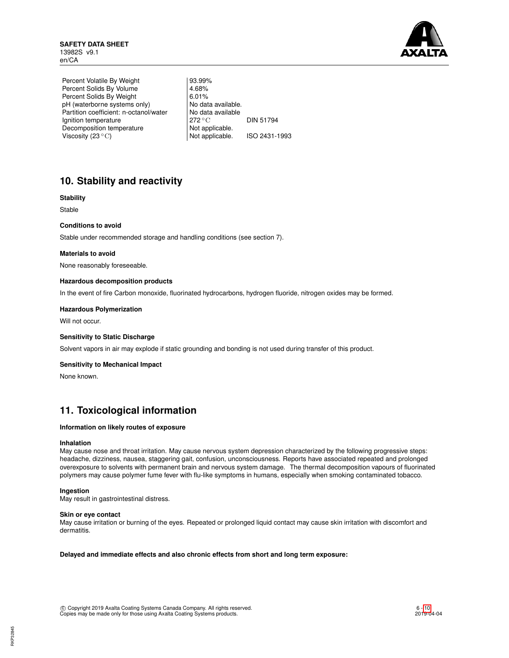

Percent Volatile By Weight | 93.99% Percent Solids By Volume  $\left| \begin{array}{cc} 4.68\% \\ 6.01\% \end{array} \right.$ Percent Solids By Weight 6.01%<br>
pH (waterborne systems only) No data available. pH (waterborne systems only) Partition coefficient: n-octanol/water | No data available Ignition temperature 272 °C DIN 51794 Decomposition temperature Not applicable.<br>Viscosity (23 °C) Not applicable. Viscosity (23 °C) Not applicable. ISO 2431-1993

# **10. Stability and reactivity**

## **Stability**

Stable

## **Conditions to avoid**

Stable under recommended storage and handling conditions (see section 7).

## **Materials to avoid**

None reasonably foreseeable.

## **Hazardous decomposition products**

In the event of fire Carbon monoxide, fluorinated hydrocarbons, hydrogen fluoride, nitrogen oxides may be formed.

### **Hazardous Polymerization**

Will not occur.

### **Sensitivity to Static Discharge**

Solvent vapors in air may explode if static grounding and bonding is not used during transfer of this product.

## **Sensitivity to Mechanical Impact**

None known.

## **11. Toxicological information**

### **Information on likely routes of exposure**

### **Inhalation**

May cause nose and throat irritation. May cause nervous system depression characterized by the following progressive steps: headache, dizziness, nausea, staggering gait, confusion, unconsciousness. Reports have associated repeated and prolonged overexposure to solvents with permanent brain and nervous system damage. The thermal decomposition vapours of fluorinated polymers may cause polymer fume fever with flu-like symptoms in humans, especially when smoking contaminated tobacco.

## **Ingestion**

May result in gastrointestinal distress.

### **Skin or eye contact**

May cause irritation or burning of the eyes. Repeated or prolonged liquid contact may cause skin irritation with discomfort and dermatitis.

**Delayed and immediate effects and also chronic effects from short and long term exposure:**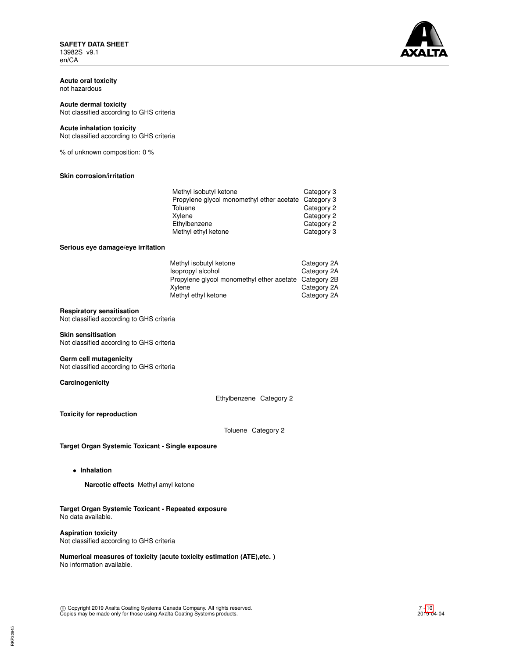**SAFETY DATA SHEET** 13982S v9.1 en/CA



**Acute oral toxicity** not hazardous

# **Acute dermal toxicity**

Not classified according to GHS criteria

## **Acute inhalation toxicity**

Not classified according to GHS criteria

% of unknown composition: 0 %

## **Skin corrosion/irritation**

| Methyl isobutyl ketone                               | Category 3 |
|------------------------------------------------------|------------|
| Propylene glycol monomethyl ether acetate Category 3 |            |
| Toluene                                              | Category 2 |
| Xylene                                               | Category 2 |
| Ethylbenzene                                         | Category 2 |
| Methyl ethyl ketone                                  | Category 3 |

#### **Serious eye damage/eye irritation**

| Methyl isobutyl ketone                                | Category 2A |
|-------------------------------------------------------|-------------|
| Isopropyl alcohol                                     | Category 2A |
| Propylene glycol monomethyl ether acetate Category 2B |             |
| Xvlene                                                | Category 2A |
| Methyl ethyl ketone                                   | Category 2A |

## **Respiratory sensitisation**

Not classified according to GHS criteria

### **Skin sensitisation**

Not classified according to GHS criteria

## **Germ cell mutagenicity**

Not classified according to GHS criteria

**Carcinogenicity**

Ethylbenzene Category 2

**Toxicity for reproduction**

Toluene Category 2

**Target Organ Systemic Toxicant - Single exposure**

• **Inhalation**

**Narcotic effects** Methyl amyl ketone

## **Target Organ Systemic Toxicant - Repeated exposure** No data available.

## **Aspiration toxicity**

Not classified according to GHS criteria

**Numerical measures of toxicity (acute toxicity estimation (ATE),etc. )** No information available.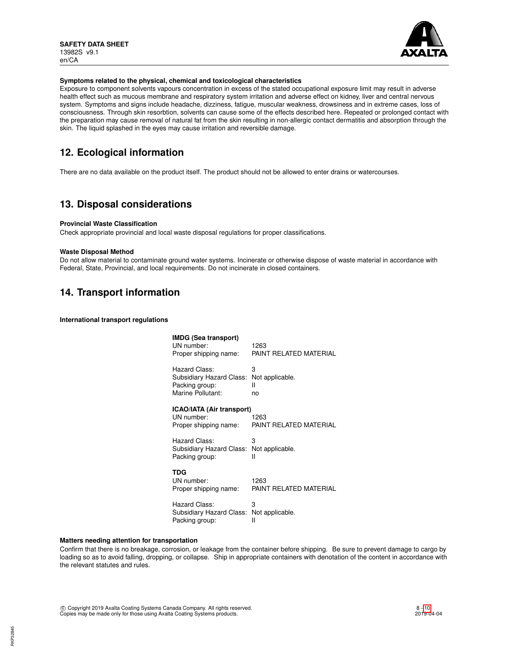

## **Symptoms related to the physical, chemical and toxicological characteristics**

Exposure to component solvents vapours concentration in excess of the stated occupational exposure limit may result in adverse health effect such as mucous membrane and respiratory system irritation and adverse effect on kidney, liver and central nervous system. Symptoms and signs include headache, dizziness, fatigue, muscular weakness, drowsiness and in extreme cases, loss of consciousness. Through skin resorbtion, solvents can cause some of the effects described here. Repeated or prolonged contact with the preparation may cause removal of natural fat from the skin resulting in non-allergic contact dermatitis and absorption through the skin. The liquid splashed in the eyes may cause irritation and reversible damage.

# **12. Ecological information**

There are no data available on the product itself. The product should not be allowed to enter drains or watercourses.

## **13. Disposal considerations**

## **Provincial Waste Classification**

Check appropriate provincial and local waste disposal regulations for proper classifications.

### **Waste Disposal Method**

Do not allow material to contaminate ground water systems. Incinerate or otherwise dispose of waste material in accordance with Federal, State, Provincial, and local requirements. Do not incinerate in closed containers.

## **14. Transport information**

**International transport regulations**

| IMDG (Sea transport)<br>UN number:<br>Proper shipping name:                                      | 1263<br>PAINT RELATED MATERIAL |
|--------------------------------------------------------------------------------------------------|--------------------------------|
| Hazard Class:<br>Subsidiary Hazard Class: Not applicable.<br>Packing group:<br>Marine Pollutant: | З<br>н<br>no                   |
| ICAO/IATA (Air transport)<br>UN number:<br>Proper shipping name:                                 | 1263<br>PAINT RELATED MATERIAL |
| Hazard Class:<br>Subsidiary Hazard Class: Not applicable.<br>Packing group:                      | З<br>н                         |
| TDG<br>UN number:<br>Proper shipping name:                                                       | 1263<br>PAINT RELATED MATERIAL |
| Hazard Class:<br>Subsidiary Hazard Class: Not applicable.<br>Packing group:                      | 3<br>Ш                         |

## **Matters needing attention for transportation**

Confirm that there is no breakage, corrosion, or leakage from the container before shipping. Be sure to prevent damage to cargo by loading so as to avoid falling, dropping, or collapse. Ship in appropriate containers with denotation of the content in accordance with the relevant statutes and rules.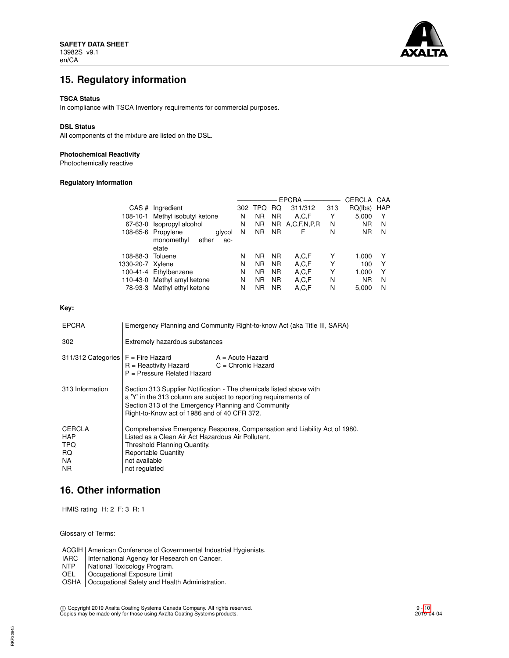

# **15. Regulatory information**

### **TSCA Status**

In compliance with TSCA Inventory requirements for commercial purposes.

## **DSL Status**

All components of the mixture are listed on the DSL.

## **Photochemical Reactivity**

Photochemically reactive

## **Regulatory information**

|                  |                                 | <b>EPCRA</b> |            |                | CERCLA         | CAA |           |            |
|------------------|---------------------------------|--------------|------------|----------------|----------------|-----|-----------|------------|
| CAS#             | Ingredient                      | 302          | <b>TPQ</b> | RQ             | 311/312        | 313 | RQ(lbs)   | <b>HAP</b> |
|                  | 108-10-1 Methyl isobutyl ketone | N            | ΝR         | <b>NR</b>      | A,C,F          | Y   | 5,000     | Y          |
|                  | 67-63-0 Isopropyl alcohol       | N            | <b>NR</b>  |                | NR A.C.F.N.P.R | N   | <b>NR</b> | N          |
|                  | 108-65-6 Propylene<br>glycol    | N            | NR.        | N <sub>R</sub> | F              | N   | <b>NR</b> | N          |
|                  | monomethyl<br>ether<br>ac-      |              |            |                |                |     |           |            |
|                  | etate                           |              |            |                |                |     |           |            |
| 108-88-3 Toluene |                                 | N            | <b>NR</b>  | <b>NR</b>      | A,C,F          | Υ   | 1,000     | Y          |
| 1330-20-7 Xylene |                                 | N            | <b>NR</b>  | <b>NR</b>      | A,C,F          | Υ   | 100       | Υ          |
|                  | 100-41-4 Ethylbenzene           | N            | <b>NR</b>  | <b>NR</b>      | A,C,F          | Υ   | 1.000     | Υ          |
|                  | 110-43-0 Methyl amyl ketone     | N            | <b>NR</b>  | <b>NR</b>      | A,C,F          | N   | <b>NR</b> | N          |
|                  | 78-93-3 Methyl ethyl ketone     | N            | ΝR         | <b>NR</b>      | A,C,F          | N   | 5,000     | N          |
|                  |                                 |              |            |                |                |     |           |            |

## **Key:**

| <b>EPCRA</b>                                            | Emergency Planning and Community Right-to-know Act (aka Title III, SARA)                                                                                                                                                                       |  |  |  |
|---------------------------------------------------------|------------------------------------------------------------------------------------------------------------------------------------------------------------------------------------------------------------------------------------------------|--|--|--|
| 302                                                     | Extremely hazardous substances                                                                                                                                                                                                                 |  |  |  |
| $311/312$ Categories $F =$ Fire Hazard                  | A = Acute Hazard<br>$R =$ Reactivity Hazard $C =$ Chronic Hazard<br>$P =$ Pressure Related Hazard                                                                                                                                              |  |  |  |
| 313 Information                                         | Section 313 Supplier Notification - The chemicals listed above with<br>a 'Y' in the 313 column are subject to reporting requirements of<br>Section 313 of the Emergency Planning and Community<br>Right-to-Know act of 1986 and of 40 CFR 372. |  |  |  |
| CERCLA<br><b>HAP</b><br><b>TPQ</b><br>RQ.<br>NA.<br>NR. | Comprehensive Emergency Response, Compensation and Liability Act of 1980.<br>Listed as a Clean Air Act Hazardous Air Pollutant.<br>Threshold Planning Quantity.<br><b>Reportable Quantity</b><br>not available<br>not regulated                |  |  |  |

## **16. Other information**

HMIS rating H: 2 F: 3 R: 1

Glossary of Terms:

ACGIH | American Conference of Governmental Industrial Hygienists.<br>IARC | International Agency for Research on Cancer.

IARC International Agency for Research on Cancer.<br>NTP National Toxicology Program.

National Toxicology Program.

OEL | Occupational Exposure Limit

OSHA | Occupational Safety and Health Administration.